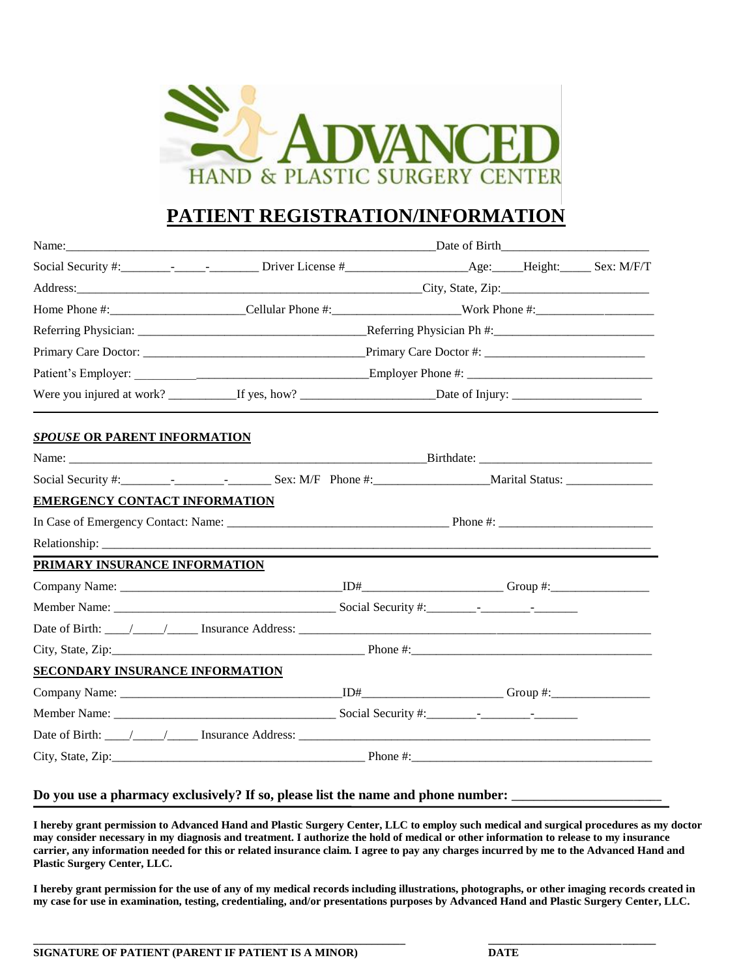

# **PATIENT REGISTRATION/INFORMATION**

|                                        | Name: Date of Birth Date of Birth Date of Birth Date of Birth Date of Birth Date of Birth Date of Birth Date of Birth Date of Birth Date of Birth Date of Birth Date of Birth Date of Birth Date of Birth Date of Birth Date o |  |  |  |
|----------------------------------------|--------------------------------------------------------------------------------------------------------------------------------------------------------------------------------------------------------------------------------|--|--|--|
|                                        |                                                                                                                                                                                                                                |  |  |  |
|                                        |                                                                                                                                                                                                                                |  |  |  |
|                                        |                                                                                                                                                                                                                                |  |  |  |
|                                        |                                                                                                                                                                                                                                |  |  |  |
|                                        |                                                                                                                                                                                                                                |  |  |  |
|                                        |                                                                                                                                                                                                                                |  |  |  |
|                                        |                                                                                                                                                                                                                                |  |  |  |
| <b>SPOUSE OR PARENT INFORMATION</b>    |                                                                                                                                                                                                                                |  |  |  |
|                                        |                                                                                                                                                                                                                                |  |  |  |
|                                        |                                                                                                                                                                                                                                |  |  |  |
| <b>EMERGENCY CONTACT INFORMATION</b>   |                                                                                                                                                                                                                                |  |  |  |
|                                        |                                                                                                                                                                                                                                |  |  |  |
|                                        | Relationship: the contract of the contract of the contract of the contract of the contract of the contract of the contract of the contract of the contract of the contract of the contract of the contract of the contract of  |  |  |  |
| PRIMARY INSURANCE INFORMATION          |                                                                                                                                                                                                                                |  |  |  |
|                                        |                                                                                                                                                                                                                                |  |  |  |
|                                        |                                                                                                                                                                                                                                |  |  |  |
|                                        |                                                                                                                                                                                                                                |  |  |  |
|                                        |                                                                                                                                                                                                                                |  |  |  |
| <b>SECONDARY INSURANCE INFORMATION</b> |                                                                                                                                                                                                                                |  |  |  |
|                                        |                                                                                                                                                                                                                                |  |  |  |
|                                        |                                                                                                                                                                                                                                |  |  |  |
|                                        |                                                                                                                                                                                                                                |  |  |  |
|                                        |                                                                                                                                                                                                                                |  |  |  |

#### Do you use a pharmacy exclusively? If so, please list the name and phone number:

**I hereby grant permission to Advanced Hand and Plastic Surgery Center, LLC to employ such medical and surgical procedures as my doctor may consider necessary in my diagnosis and treatment. I authorize the hold of medical or other information to release to my insurance carrier, any information needed for this or related insurance claim. I agree to pay any charges incurred by me to the Advanced Hand and Plastic Surgery Center, LLC.** 

**I hereby grant permission for the use of any of my medical records including illustrations, photographs, or other imaging records created in my case for use in examination, testing, credentialing, and/or presentations purposes by Advanced Hand and Plastic Surgery Center, LLC.**

**\_\_\_\_\_\_\_\_\_\_\_\_\_\_\_\_\_\_\_\_\_\_\_\_\_\_\_\_\_\_\_\_\_\_\_\_\_\_\_\_\_\_\_\_\_\_\_\_\_\_\_\_\_\_\_\_\_\_\_\_\_\_\_\_\_\_\_ \_\_\_\_\_\_\_\_\_\_\_\_\_\_\_\_\_\_\_\_\_\_\_\_\_\_\_\_\_\_**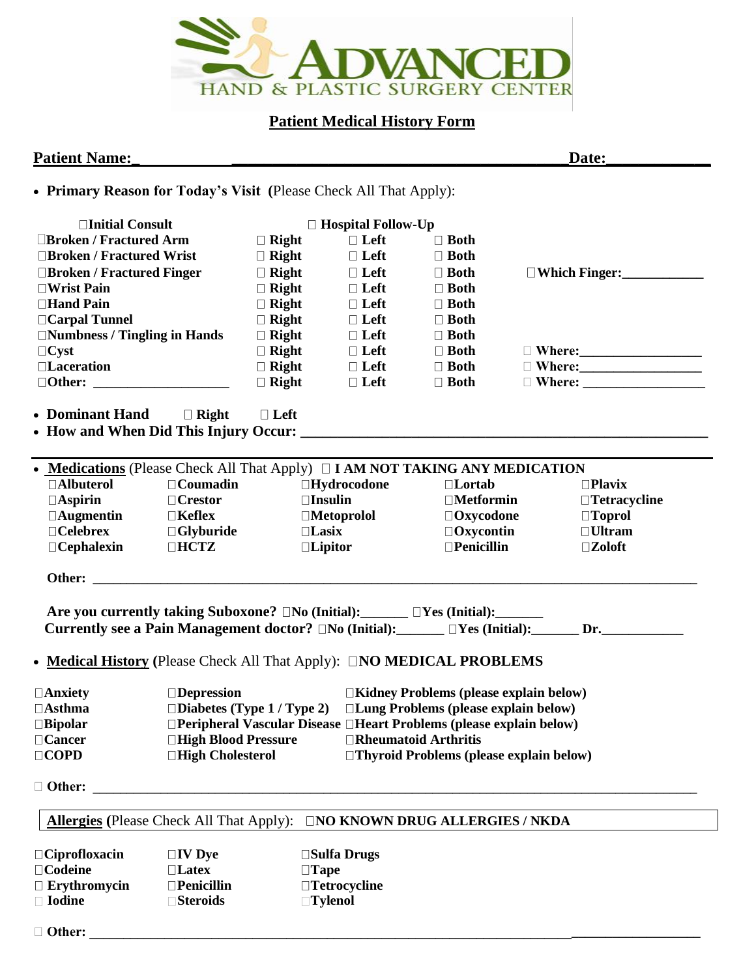

## **Patient Medical History Form**

## **Patient Name: Date: Date:**

• **Primary Reason for Today's Visit (**Please Check All That Apply):

| □Initial Consult                                                                                                                                                                     |                      |                | $\Box$ Hospital Follow-Up |                                                                                     |                     |
|--------------------------------------------------------------------------------------------------------------------------------------------------------------------------------------|----------------------|----------------|---------------------------|-------------------------------------------------------------------------------------|---------------------|
| <b>Election / Fractured Arm</b>                                                                                                                                                      |                      | $\Box$ Right   | $\Box$ Left               | $\Box$ Both                                                                         |                     |
| □Broken / Fractured Wrist                                                                                                                                                            |                      | $\Box$ Right   | $\Box$ Left               | $\Box$ Both                                                                         |                     |
| □Broken / Fractured Finger                                                                                                                                                           |                      | $\Box$ Right   | $\Box$ Left               | $\Box$ Both                                                                         | □Which Finger:<br>□ |
| $\Box$ Wrist Pain                                                                                                                                                                    |                      | $\Box$ Right   | $\Box$ Left               | $\Box$ Both                                                                         |                     |
| □Hand Pain                                                                                                                                                                           |                      | $\Box$ Right   | $\Box$ Left               | $\Box$ Both                                                                         |                     |
| □ Carpal Tunnel                                                                                                                                                                      |                      | $\Box$ Right   | $\Box$ Left               | $\Box$ Both                                                                         |                     |
| □Numbness / Tingling in Hands                                                                                                                                                        |                      | $\Box$ Right   | $\Box$ Left               | $\Box$ Both                                                                         |                     |
| $\Box$ Cyst                                                                                                                                                                          |                      | $\Box$ Right   | $\Box$ Left               | $\Box$ Both                                                                         |                     |
| □Laceration                                                                                                                                                                          |                      | $\Box$ Right   | $\Box$ Left               | $\Box$ Both                                                                         |                     |
|                                                                                                                                                                                      |                      | $\Box$ Right   | $\Box$ Left               | $\Box$ Both                                                                         |                     |
| • Dominant Hand                                                                                                                                                                      | $\Box$ Right         | $\Box$ Left    |                           |                                                                                     |                     |
| • Medications (Please Check All That Apply) $\Box$ I AM NOT TAKING ANY MEDICATION                                                                                                    |                      |                |                           |                                                                                     |                     |
| □Albuterol                                                                                                                                                                           | $\Box$ Coumadin      |                | $\Box$ Hydrocodone        | $\Box$ Lortab                                                                       | $\Box$ Plavix       |
| $\Box$ Aspirin                                                                                                                                                                       | $\Box$ Crestor       | $\Box$ Insulin |                           | $\square$ Metformin                                                                 | □Tetracycline       |
| $\Box$ Augmentin                                                                                                                                                                     | $\square$ Keflex     |                | $\Box$ Metoprolol         | $\Box$ Oxycodone                                                                    | $\Box$ Toprol       |
| $\Box$ Celebrex                                                                                                                                                                      | $\Box$ Glyburide     | $\Box$ Lasix   |                           | $\Box$ Oxycontin                                                                    | $\Box$ Ultram       |
| $\Box$ Cephalexin                                                                                                                                                                    | $\Box$ <b>HCTZ</b>   | $\Box$ Lipitor |                           | $\Box$ Penicillin                                                                   | $\square$ Zoloft    |
| Other:                                                                                                                                                                               |                      |                |                           |                                                                                     |                     |
| Are you currently taking Suboxone? □No (Initial): ______ □Yes (Initial): ______<br>Currently see a Pain Management doctor? $\Box$ No (Initial): $\Box$ $\Box$ Yes (Initial): Dr. Dr. |                      |                |                           |                                                                                     |                     |
| • Medical History (Please Check All That Apply): CNO MEDICAL PROBLEMS                                                                                                                |                      |                |                           |                                                                                     |                     |
| $\Box$ Anxiety                                                                                                                                                                       | $\Box$ Depression    |                |                           | □Kidney Problems (please explain below)                                             |                     |
| $\Box$ Asthma                                                                                                                                                                        |                      |                |                           | $\square$ Diabetes (Type 1 / Type 2) $\square$ Lung Problems (please explain below) |                     |
| $\square$ Bipolar                                                                                                                                                                    |                      |                |                           | $\Box$ Peripheral Vascular Disease $\Box$ Heart Problems (please explain below)     |                     |
| $\Box$ Cancer                                                                                                                                                                        | □High Blood Pressure |                |                           | $\Box$ Rheumatoid Arthritis                                                         |                     |
| $\Box$ COPD                                                                                                                                                                          | □High Cholesterol    |                |                           | □Thyroid Problems (please explain below)                                            |                     |
| $\Box$ Other:                                                                                                                                                                        |                      |                |                           |                                                                                     |                     |
| <b>Allergies</b> (Please Check All That Apply):                                                                                                                                      |                      |                |                           | <b>INO KNOWN DRUG ALLERGIES / NKDA</b>                                              |                     |
| $\Box$ Ciprofloxacin                                                                                                                                                                 | $\Box$ <b>IV</b> Dye |                | $\square$ Sulfa Drugs     |                                                                                     |                     |
| $\Box$ Codeine                                                                                                                                                                       | $\Box$ Latex         | $\Box$ Tape    |                           |                                                                                     |                     |
| $\Box$ Erythromycin                                                                                                                                                                  | $\square$ Penicillin | □Tetrocycline  |                           |                                                                                     |                     |
| □ Iodine                                                                                                                                                                             | <b>■Steroids</b>     |                | <b>Tylenol</b>            |                                                                                     |                     |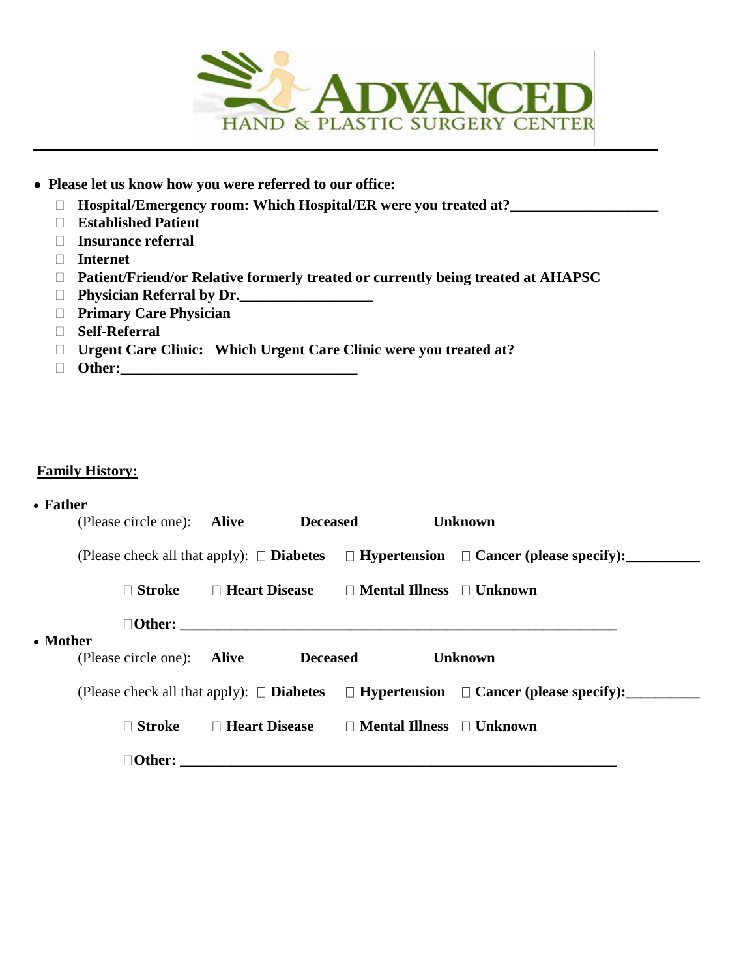

- **Please let us know how you were referred to our office:**
	- **Hospital/Emergency room: Which Hospital/ER were you treated at?\_\_\_\_\_\_\_\_\_\_\_\_\_\_\_\_\_\_\_\_**
	- **Established Patient**
	- **Insurance referral**
	- **Internet**
	- **Patient/Friend/or Relative formerly treated or currently being treated at AHAPSC**
	- **Physician Referral by Dr.\_\_\_\_\_\_\_\_\_\_\_\_\_\_\_\_\_\_**
	- **Primary Care Physician**
	- **Self-Referral**
	- **Urgent Care Clinic: Which Urgent Care Clinic were you treated at?**
	- **Other:\_\_\_\_\_\_\_\_\_\_\_\_\_\_\_\_\_\_\_\_\_\_\_\_\_\_\_\_\_\_\_\_**

## **Family History:**

• **Father** 

|          | (Please circle one): Alive | <b>Deceased</b>                                           | <b>Unknown</b>                                                                                                                   |
|----------|----------------------------|-----------------------------------------------------------|----------------------------------------------------------------------------------------------------------------------------------|
|          |                            |                                                           | (Please check all that apply): $\square$ <b>Diabetes</b> $\square$ <b>Hypertension</b> $\square$ <b>Cancer (please specify):</b> |
|          | $\Box$ Stroke              | $\Box$ Heart Disease $\Box$ Mental Illness $\Box$ Unknown |                                                                                                                                  |
| • Mother |                            |                                                           |                                                                                                                                  |
|          | (Please circle one): Alive | <b>Deceased</b>                                           | <b>Unknown</b>                                                                                                                   |
|          |                            |                                                           | (Please check all that apply): $\square$ Diabetes $\square$ Hypertension $\square$ Cancer (please specify):                      |
|          | $\Box$ Stroke              | $\Box$ Heart Disease $\Box$ Mental Illness $\Box$ Unknown |                                                                                                                                  |
|          | $\Box$ Other:              |                                                           |                                                                                                                                  |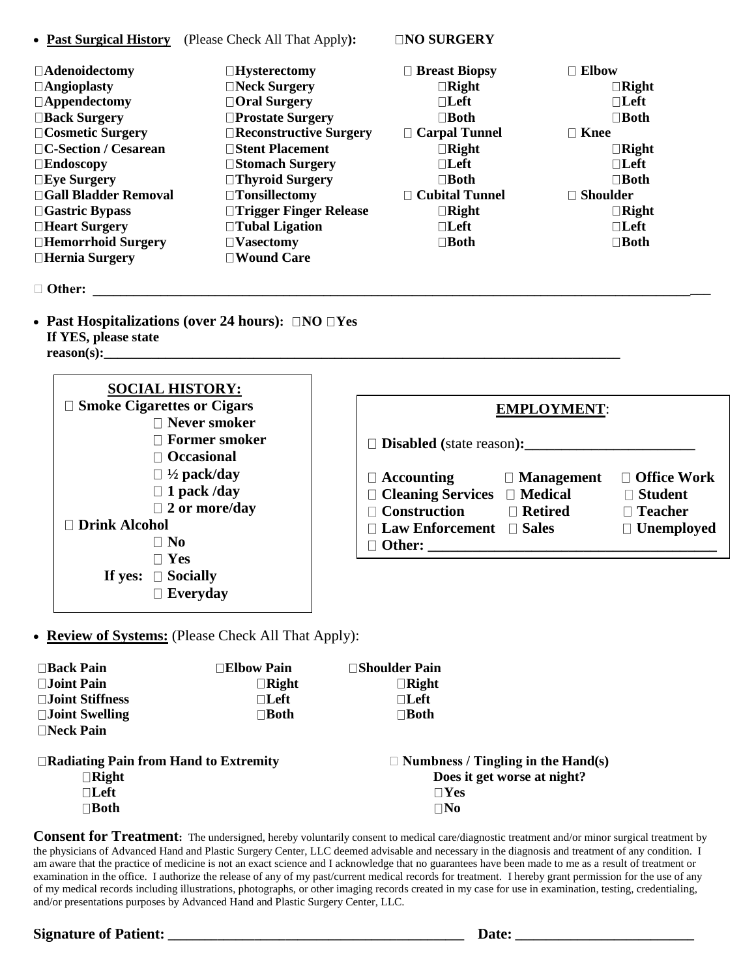|  |  | • <b>Past Surgical History</b> (Please Check All That Apply): |
|--|--|---------------------------------------------------------------|
|--|--|---------------------------------------------------------------|

• **Past Surgical History** (Please Check All That Apply**): NO SURGERY**

| $\Box$ Adenoidectomy    | $\Box$ Hysterectomy           | $\Box$ Breast Biopsy  | $\Box$ Elbow      |
|-------------------------|-------------------------------|-----------------------|-------------------|
| $\Box$ Angioplasty      | $\Box$ Neck Surgery           | $\Box$ Right          | $\Box$ Right      |
| $\Box$ Appendectomy     | □ Oral Surgery                | $\Box$ Left           | $\Box$ Left       |
| □ Back Surgery          | $\Box$ Prostate Surgery       | $\Box$ Both           | $\Box$ Both       |
| $\Box$ Cosmetic Surgery | $\Box$ Reconstructive Surgery | $\Box$ Carpal Tunnel  | $\Box$ Knee       |
| □C-Section / Cesarean   | □Stent Placement              | $\Box$ Right          | $\Box$ Right      |
| $\square$ Endoscopy     | □Stomach Surgery              | $\Box$ Left           | $\Box$ Left       |
| $\square$ Eye Surgery   | $\Box$ Thyroid Surgery        | $\square$ <b>Both</b> | $\Box$ Both       |
| □Gall Bladder Removal   | $\Box$ Tonsillectomy          | $\Box$ Cubital Tunnel | $\sqcap$ Shoulder |
| $\Box$ Gastric Bypass   | □ Trigger Finger Release      | $\Box$ Right          | $\Box$ Right      |
| □Heart Surgery          | $\Box$ Tubal Ligation         | $\Box$ Left           | $\Box$ Left       |
| □Hemorrhoid Surgery     | $\Box$ Vasectomy              | $\Box$ Both           | $\Box$ Both       |
| $\Box$ Hernia Surgery   | $\square$ Wound Care          |                       |                   |

### **Other: \_\_\_\_\_\_\_\_\_\_\_\_\_\_\_\_\_\_\_\_\_\_\_\_\_\_\_\_\_\_\_\_\_\_\_\_\_\_\_\_\_\_\_\_\_\_\_\_\_\_\_\_\_\_\_\_\_\_\_\_\_\_\_\_\_\_\_\_\_\_\_\_\_\_\_\_\_\_\_\_\_\_\_\_\_\_\_\_\_\_\_**

• **Past Hospitalizations** (over 24 hours):  $\Box \text{NO} \Box \text{Yes}$ **If YES, please state reason(s):\_\_\_\_\_\_\_\_\_\_\_\_\_\_\_\_\_\_\_\_\_\_\_\_\_\_\_\_\_\_\_\_\_\_\_\_\_\_\_\_\_\_\_\_\_\_\_\_\_\_\_\_\_\_\_\_\_\_\_\_\_\_\_\_\_\_\_\_\_\_\_\_\_\_\_\_**

| <b>SOCIAL HISTORY:</b><br>$\Box$ Smoke Cigarettes or Cigars<br>$\Box$ Never smoker | <b>EMPLOYMENT:</b>                      |                    |
|------------------------------------------------------------------------------------|-----------------------------------------|--------------------|
| $\Box$ Former smoker<br>$\Box$ Occasional                                          | <b>Disabled</b> (state reason):         |                    |
| $\Box$ 1/2 pack/day                                                                | $\Box$ Accounting<br>$\Box$ Management  | $\Box$ Office Work |
| $\Box$ 1 pack /day                                                                 | $\Box$ Cleaning Services $\Box$ Medical | $\Box$ Student     |
| $\Box$ 2 or more/day                                                               | $\Box$ Construction<br>$\Box$ Retired   | $\Box$ Teacher     |
| □ Drink Alcohol                                                                    | $\Box$ Law Enforcement $\Box$ Sales     | $\Box$ Unemployed  |
| $\square$ No                                                                       |                                         |                    |
| $\Box$ Yes                                                                         |                                         |                    |
| $\Box$ Socially<br>If yes:                                                         |                                         |                    |
| $\Box$ Everyday                                                                    |                                         |                    |

• **Review of Systems:** (Please Check All That Apply):

| $\Box$ Back Pain          | $\Box$ Elbow Pain | □Shoulder Pain |
|---------------------------|-------------------|----------------|
| $\square$ Joint Pain      | $\Box$ Right      | $\Box$ Right   |
| $\square$ Joint Stiffness | $\sqcap$ Left     | $\Box$ Left    |
| $\square$ Joint Swelling  | $\Box$ Both       | $\Box$ Both    |
| $\Box$ Neck Pain          |                   |                |
|                           |                   |                |

| $\Box$ Radiating Pain from Hand to Extremity | $\Box$ Numbness / Tingling in the Hand(s) |
|----------------------------------------------|-------------------------------------------|
| $\Box$ Right                                 | Does it get worse at night?               |
| $\Box$ Left                                  | $\Box$ Yes                                |
| $\sqcap$ Both                                | $\square$ No                              |
|                                              |                                           |

**Consent for Treatment:** The undersigned, hereby voluntarily consent to medical care/diagnostic treatment and/or minor surgical treatment by the physicians of Advanced Hand and Plastic Surgery Center, LLC deemed advisable and necessary in the diagnosis and treatment of any condition. I am aware that the practice of medicine is not an exact science and I acknowledge that no guarantees have been made to me as a result of treatment or examination in the office. I authorize the release of any of my past/current medical records for treatment. I hereby grant permission for the use of any of my medical records including illustrations, photographs, or other imaging records created in my case for use in examination, testing, credentialing, and/or presentations purposes by Advanced Hand and Plastic Surgery Center, LLC.

**Signature of Patient: \_\_\_\_\_\_\_\_\_\_\_\_\_\_\_\_\_\_\_\_\_\_\_\_\_\_\_\_\_\_\_\_\_\_\_\_\_\_\_\_\_\_\_\_\_\_\_\_ Date: \_\_\_\_\_\_\_\_\_\_\_\_\_\_\_\_\_\_\_\_\_\_\_\_\_\_\_\_\_**

| ٠<br>×<br>۰.<br>۰,<br>I |
|-------------------------|
|-------------------------|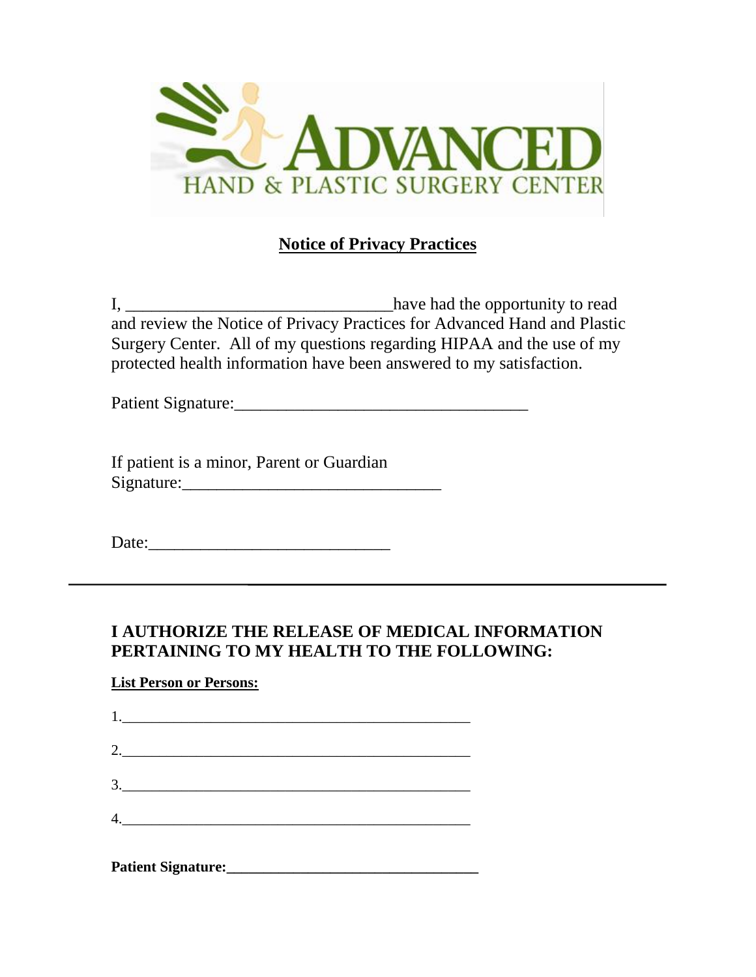

# **Notice of Privacy Practices**

I, have had the opportunity to read and review the Notice of Privacy Practices for Advanced Hand and Plastic Surgery Center. All of my questions regarding HIPAA and the use of my protected health information have been answered to my satisfaction.

Patient Signature:

If patient is a minor, Parent or Guardian Signature:\_\_\_\_\_\_\_\_\_\_\_\_\_\_\_\_\_\_\_\_\_\_\_\_\_\_\_\_\_\_

Date:\_\_\_\_\_\_\_\_\_\_\_\_\_\_\_\_\_\_\_\_\_\_\_\_\_\_\_\_

# **I AUTHORIZE THE RELEASE OF MEDICAL INFORMATION PERTAINING TO MY HEALTH TO THE FOLLOWING:**

## **List Person or Persons:**

| $\begin{array}{c} \n 1. \n \end{array}$ |
|-----------------------------------------|
| 2.                                      |
| $\begin{array}{c}\n3.\n\end{array}$     |
|                                         |
| 4.                                      |

**Patient Signature:\_\_\_\_\_\_\_\_\_\_\_\_\_\_\_\_\_\_\_\_\_\_\_\_\_\_\_\_\_\_\_\_\_\_**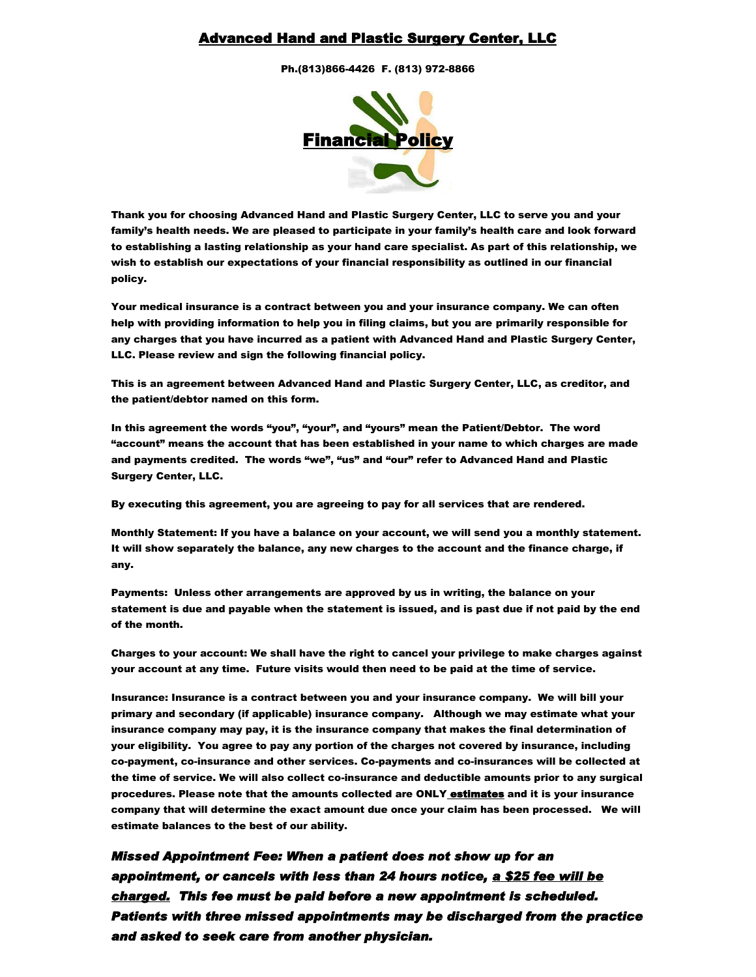### Advanced Hand and Plastic Surgery Center, LLC

Ph.(813)866-4426 F. (813) 972-8866



Thank you for choosing Advanced Hand and Plastic Surgery Center, LLC to serve you and your family's health needs. We are pleased to participate in your family's health care and look forward to establishing a lasting relationship as your hand care specialist. As part of this relationship, we wish to establish our expectations of your financial responsibility as outlined in our financial policy.

Your medical insurance is a contract between you and your insurance company. We can often help with providing information to help you in filing claims, but you are primarily responsible for any charges that you have incurred as a patient with Advanced Hand and Plastic Surgery Center, LLC. Please review and sign the following financial policy.

This is an agreement between Advanced Hand and Plastic Surgery Center, LLC, as creditor, and the patient/debtor named on this form.

In this agreement the words "you", "your", and "yours" mean the Patient/Debtor. The word "account" means the account that has been established in your name to which charges are made and payments credited. The words "we", "us" and "our" refer to Advanced Hand and Plastic Surgery Center, LLC.

By executing this agreement, you are agreeing to pay for all services that are rendered.

Monthly Statement: If you have a balance on your account, we will send you a monthly statement. It will show separately the balance, any new charges to the account and the finance charge, if any.

Payments: Unless other arrangements are approved by us in writing, the balance on your statement is due and payable when the statement is issued, and is past due if not paid by the end of the month.

Charges to your account: We shall have the right to cancel your privilege to make charges against your account at any time. Future visits would then need to be paid at the time of service.

Insurance: Insurance is a contract between you and your insurance company. We will bill your primary and secondary (if applicable) insurance company. Although we may estimate what your insurance company may pay, it is the insurance company that makes the final determination of your eligibility. You agree to pay any portion of the charges not covered by insurance, including co-payment, co-insurance and other services. Co-payments and co-insurances will be collected at the time of service. We will also collect co-insurance and deductible amounts prior to any surgical procedures. Please note that the amounts collected are ONLY estimates and it is your insurance company that will determine the exact amount due once your claim has been processed. We will estimate balances to the best of our ability.

*Missed Appointment Fee: When a patient does not show up for an appointment, or cancels with less than 24 hours notice, a \$25 fee will be charged. This fee must be paid before a new appointment is scheduled. Patients with three missed appointments may be discharged from the practice and asked to seek care from another physician.*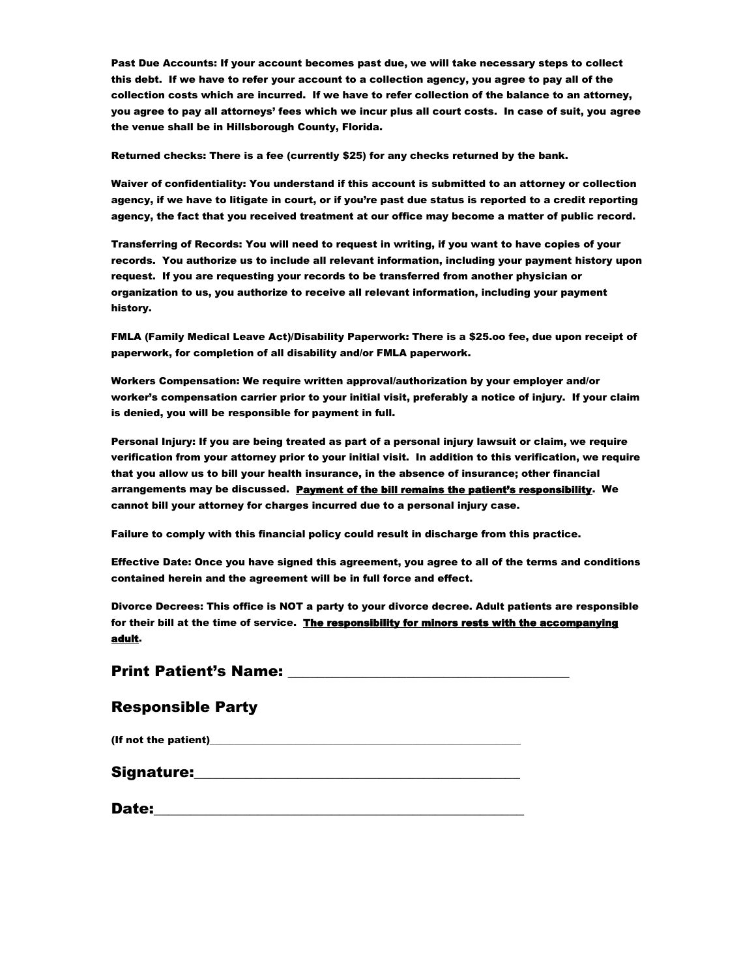Past Due Accounts: If your account becomes past due, we will take necessary steps to collect this debt. If we have to refer your account to a collection agency, you agree to pay all of the collection costs which are incurred. If we have to refer collection of the balance to an attorney, you agree to pay all attorneys' fees which we incur plus all court costs. In case of suit, you agree the venue shall be in Hillsborough County, Florida.

Returned checks: There is a fee (currently \$25) for any checks returned by the bank.

Waiver of confidentiality: You understand if this account is submitted to an attorney or collection agency, if we have to litigate in court, or if you're past due status is reported to a credit reporting agency, the fact that you received treatment at our office may become a matter of public record.

Transferring of Records: You will need to request in writing, if you want to have copies of your records. You authorize us to include all relevant information, including your payment history upon request. If you are requesting your records to be transferred from another physician or organization to us, you authorize to receive all relevant information, including your payment history.

FMLA (Family Medical Leave Act)/Disability Paperwork: There is a \$25.oo fee, due upon receipt of paperwork, for completion of all disability and/or FMLA paperwork.

Workers Compensation: We require written approval/authorization by your employer and/or worker's compensation carrier prior to your initial visit, preferably a notice of injury. If your claim is denied, you will be responsible for payment in full.

Personal Injury: If you are being treated as part of a personal injury lawsuit or claim, we require verification from your attorney prior to your initial visit. In addition to this verification, we require that you allow us to bill your health insurance, in the absence of insurance; other financial arrangements may be discussed. Payment of the bill remains the patient's responsibility. We cannot bill your attorney for charges incurred due to a personal injury case.

Failure to comply with this financial policy could result in discharge from this practice.

Effective Date: Once you have signed this agreement, you agree to all of the terms and conditions contained herein and the agreement will be in full force and effect.

Divorce Decrees: This office is NOT a party to your divorce decree. Adult patients are responsible for their bill at the time of service. The responsibility for minors rests with the accompanying adult.

Print Patient's Name:

#### Responsible Party

(If not the patient)

Signature:

| Date: |  |
|-------|--|
|       |  |